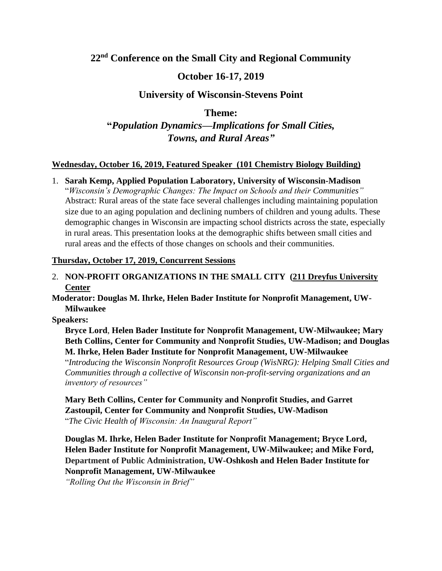# **22nd Conference on the Small City and Regional Community**

# **October 16-17, 2019**

# **University of Wisconsin-Stevens Point**

**Theme:**

**"***Population Dynamics—Implications for Small Cities, Towns, and Rural Areas"*

### **Wednesday, October 16, 2019, Featured Speaker (101 Chemistry Biology Building)**

### 1. **Sarah Kemp, Applied Population Laboratory, University of Wisconsin-Madison**

"*Wisconsin's Demographic Changes: The Impact on Schools and their Communities"* Abstract: Rural areas of the state face several challenges including maintaining population size due to an aging population and declining numbers of children and young adults. These demographic changes in Wisconsin are impacting school districts across the state, especially in rural areas. This presentation looks at the demographic shifts between small cities and rural areas and the effects of those changes on schools and their communities.

#### **Thursday, October 17, 2019, Concurrent Sessions**

2. **NON-PROFIT ORGANIZATIONS IN THE SMALL CITY (211 Dreyfus University Center**

**Moderator: Douglas M. Ihrke, Helen Bader Institute for Nonprofit Management, UW-Milwaukee**

**Speakers:** 

**Bryce Lord**, **Helen Bader Institute for Nonprofit Management, UW-Milwaukee; Mary Beth Collins, Center for Community and Nonprofit Studies, UW-Madison; and Douglas M. Ihrke, Helen Bader Institute for Nonprofit Management, UW-Milwaukee**

"*Introducing the Wisconsin Nonprofit Resources Group (WisNRG): Helping Small Cities and Communities through a collective of Wisconsin non-profit-serving organizations and an inventory of resources"*

**Mary Beth Collins, Center for Community and Nonprofit Studies, and Garret Zastoupil, Center for Community and Nonprofit Studies, UW-Madison** "*The Civic Health of Wisconsin: An Inaugural Report"*

**Douglas M. Ihrke, Helen Bader Institute for Nonprofit Management; Bryce Lord, Helen Bader Institute for Nonprofit Management, UW-Milwaukee; and Mike Ford, Department of Public Administration, UW-Oshkosh and Helen Bader Institute for Nonprofit Management, UW-Milwaukee**

*"Rolling Out the Wisconsin in Brief"*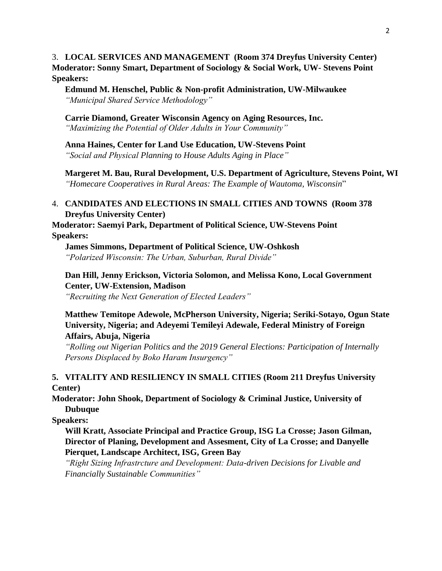3. **LOCAL SERVICES AND MANAGEMENT (Room 374 Dreyfus University Center) Moderator: Sonny Smart, Department of Sociology & Social Work, UW- Stevens Point Speakers:** 

**Edmund M. Henschel, Public & Non-profit Administration, UW-Milwaukee** *"Municipal Shared Service Methodology"*

**Carrie Diamond, Greater Wisconsin Agency on Aging Resources, Inc.** *"Maximizing the Potential of Older Adults in Your Community"*

**Anna Haines, Center for Land Use Education, UW-Stevens Point** *"Social and Physical Planning to House Adults Aging in Place"*

**Margeret M. Bau, Rural Development, U.S. Department of Agriculture, Stevens Point, WI** *"Homecare Cooperatives in Rural Areas: The Example of Wautoma, Wisconsin*"

#### 4. **CANDIDATES AND ELECTIONS IN SMALL CITIES AND TOWNS (Room 378 Dreyfus University Center)**

**Moderator: Saemyi Park, Department of Political Science, UW-Stevens Point Speakers:**

**James Simmons, Department of Political Science, UW-Oshkosh** *"Polarized Wisconsin: The Urban, Suburban, Rural Divide"*

**Dan Hill, Jenny Erickson, Victoria Solomon, and Melissa Kono, Local Government Center, UW-Extension, Madison** *"Recruiting the Next Generation of Elected Leaders"*

#### **Matthew Temitope Adewole, McPherson University, Nigeria; Seriki-Sotayo, Ogun State University, Nigeria; and Adeyemi Temileyi Adewale, Federal Ministry of Foreign Affairs, Abuja, Nigeria**

*"Rolling out Nigerian Politics and the 2019 General Elections: Participation of Internally Persons Displaced by Boko Haram Insurgency"*

### **5. VITALITY AND RESILIENCY IN SMALL CITIES (Room 211 Dreyfus University Center)**

**Moderator: John Shook, Department of Sociology & Criminal Justice, University of Dubuque**

**Speakers:**

**Will Kratt, Associate Principal and Practice Group, ISG La Crosse; Jason Gilman, Director of Planing, Development and Assesment, City of La Crosse; and Danyelle Pierquet, Landscape Architect, ISG, Green Bay**

*"Right Sizing Infrastrcture and Development: Data-driven Decisions for Livable and Financially Sustainable Communities"*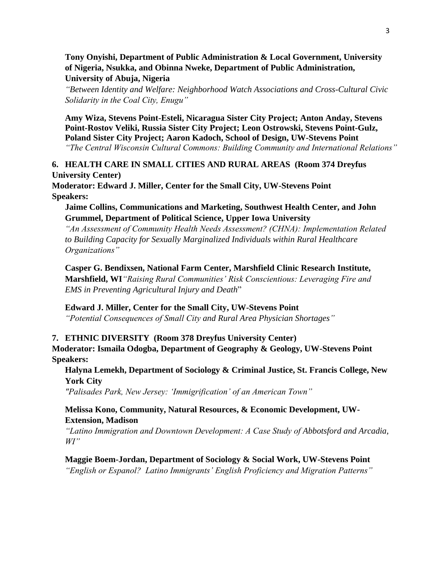#### **Tony Onyishi, Department of Public Administration & Local Government, University of Nigeria, Nsukka, and Obinna Nweke, Department of Public Administration, University of Abuja, Nigeria**

*"Between Identity and Welfare: Neighborhood Watch Associations and Cross-Cultural Civic Solidarity in the Coal City, Enugu"*

**Amy Wiza, Stevens Point-Esteli, Nicaragua Sister City Project; Anton Anday, Stevens Point-Rostov Veliki, Russia Sister City Project; Leon Ostrowski, Stevens Point-Gulz, Poland Sister City Project; Aaron Kadoch, School of Design, UW-Stevens Point** *"The Central Wisconsin Cultural Commons: Building Community and International Relations"*

**6. HEALTH CARE IN SMALL CITIES AND RURAL AREAS (Room 374 Dreyfus University Center)**

**Moderator: Edward J. Miller, Center for the Small City, UW-Stevens Point Speakers:**

#### **Jaime Collins, Communications and Marketing, Southwest Health Center, and John Grummel, Department of Political Science, Upper Iowa University**

*"An Assessment of Community Health Needs Assessment? (CHNA): Implementation Related to Building Capacity for Sexually Marginalized Individuals within Rural Healthcare Organizations"*

**Casper G. Bendixsen, National Farm Center, Marshfield Clinic Research Institute, Marshfield, WI***"Raising Rural Communities' Risk Conscientious: Leveraging Fire and EMS in Preventing Agricultural Injury and Death*"

**Edward J. Miller, Center for the Small City, UW-Stevens Point**

*"Potential Consequences of Small City and Rural Area Physician Shortages"*

### **7. ETHNIC DIVERSITY (Room 378 Dreyfus University Center)**

**Moderator: Ismaila Odogba, Department of Geography & Geology, UW-Stevens Point Speakers:**

**Halyna Lemekh, Department of Sociology & Criminal Justice, St. Francis College, New York City**

*"Palisades Park, New Jersey: 'Immigrification' of an American Town"*

### **Melissa Kono, Community, Natural Resources, & Economic Development, UW-Extension, Madison**

*"Latino Immigration and Downtown Development: A Case Study of Abbotsford and Arcadia, WI"*

# **Maggie Boem-Jordan, Department of Sociology & Social Work, UW-Stevens Point**

*"English or Espanol? Latino Immigrants' English Proficiency and Migration Patterns"*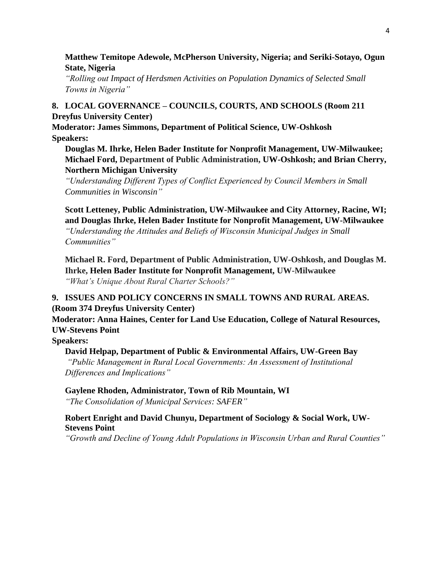### **Matthew Temitope Adewole, McPherson University, Nigeria; and Seriki-Sotayo, Ogun State, Nigeria**

*"Rolling out Impact of Herdsmen Activities on Population Dynamics of Selected Small Towns in Nigeria"*

# **8. LOCAL GOVERNANCE – COUNCILS, COURTS, AND SCHOOLS (Room 211 Dreyfus University Center)**

**Moderator: James Simmons, Department of Political Science, UW-Oshkosh Speakers:**

**Douglas M. Ihrke, Helen Bader Institute for Nonprofit Management, UW-Milwaukee; Michael Ford, Department of Public Administration, UW-Oshkosh; and Brian Cherry, Northern Michigan University**

*"Understanding Different Types of Conflict Experienced by Council Members in Small Communities in Wisconsin"*

**Scott Letteney, Public Administration, UW-Milwaukee and City Attorney, Racine, WI; and Douglas Ihrke, Helen Bader Institute for Nonprofit Management, UW-Milwaukee** *"Understanding the Attitudes and Beliefs of Wisconsin Municipal Judges in Small Communities"*

**Michael R. Ford, Department of Public Administration, UW-Oshkosh, and Douglas M. Ihrke, Helen Bader Institute for Nonprofit Management, UW-Milwaukee** *"What's Unique About Rural Charter Schools?"*

# **9. ISSUES AND POLICY CONCERNS IN SMALL TOWNS AND RURAL AREAS. (Room 374 Dreyfus University Center)**

**Moderator: Anna Haines, Center for Land Use Education, College of Natural Resources, UW-Stevens Point**

**Speakers:**

### **David Helpap, Department of Public & Environmental Affairs, UW-Green Bay**

*"Public Management in Rural Local Governments: An Assessment of Institutional Differences and Implications"*

### **Gaylene Rhoden, Administrator, Town of Rib Mountain, WI**

*"The Consolidation of Municipal Services: SAFER"*

#### **Robert Enright and David Chunyu, Department of Sociology & Social Work, UW-Stevens Point**

*"Growth and Decline of Young Adult Populations in Wisconsin Urban and Rural Counties"*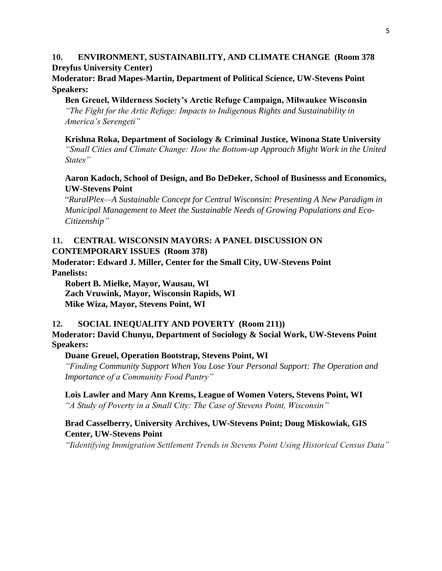### **10. ENVIRONMENT, SUSTAINABILITY, AND CLIMATE CHANGE (Room 378 Dreyfus University Center)**

**Moderator: Brad Mapes-Martin, Department of Political Science, UW-Stevens Point Speakers:**

**Ben Greuel, Wilderness Society's Arctic Refuge Campaign, Milwaukee Wisconsin** *"The Fight for the Artic Refuge: Impacts to Indigenous Rights and Sustainability in* 

*America's Serengeti"*

**Krishna Roka, Department of Sociology & Criminal Justice, Winona State University**  *"Small Cities and Climate Change: How the Bottom-up Approach Might Work in the United States"*

### **Aaron Kadoch, School of Design, and Bo DeDeker, School of Businesss and Economics, UW-Stevens Point**

"*RuralPlex—A Sustainable Concept for Central Wisconsin: Presenting A New Paradigm in Municipal Management to Meet the Sustainable Needs of Growing Populations and Eco-Citizenship"*

# **11. CENTRAL WISCONSIN MAYORS: A PANEL DISCUSSION ON CONTEMPORARY ISSUES (Room 378)**

**Moderator: Edward J. Miller, Center for the Small City, UW-Stevens Point Panelists:** 

**Robert B. Mielke, Mayor, Wausau, WI Zach Vruwink, Mayor, Wisconsin Rapids, WI Mike Wiza, Mayor, Stevens Point, WI**

# **12. SOCIAL INEQUALITY AND POVERTY (Room 211))**

**Moderator: David Chunyu, Department of Sociology & Social Work, UW-Stevens Point Speakers:**

### **Duane Greuel, Operation Bootstrap, Stevens Point, WI**

*"Finding Community Support When You Lose Your Personal Support: The Operation and Importance of a Community Food Pantry"*

**Lois Lawler and Mary Ann Krems, League of Women Voters, Stevens Point, WI** *"A Study of Poverty in a Small City: The Case of Stevens Point, Wisconsin"*

## **Brad Casselberry, University Archives, UW-Stevens Point; Doug Miskowiak, GIS Center, UW-Stevens Point**

*"Iidentifying Immigration Settlement Trends in Stevens Point Using Historical Census Data"*